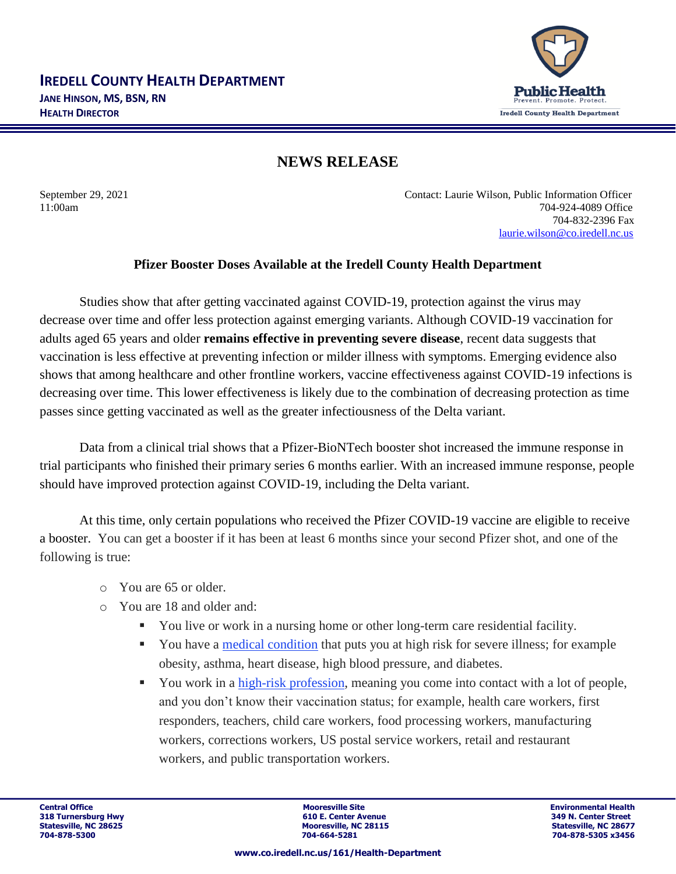

## **NEWS RELEASE**

September 29, 2021 Contact: Laurie Wilson, Public Information Officer 11:00am 704-924-4089 Office 704-832-2396 Fax [laurie.wilson@co.iredell.nc.us](mailto:laurie.wilson@co.iredell.nc.us)

## **Pfizer Booster Doses Available at the Iredell County Health Department**

Studies show that after getting vaccinated against COVID-19, protection against the virus may decrease over time and offer less protection against emerging variants. Although COVID-19 vaccination for adults aged 65 years and older **remains effective in preventing severe disease**, recent data suggests that vaccination is less effective at preventing infection or milder illness with symptoms. Emerging evidence also shows that among healthcare and other frontline workers, vaccine effectiveness against COVID-19 infections is decreasing over time. This lower effectiveness is likely due to the combination of decreasing protection as time passes since getting vaccinated as well as the greater infectiousness of the Delta variant.

Data from a clinical trial shows that a Pfizer-BioNTech booster shot increased the immune response in trial participants who finished their primary series 6 months earlier. With an increased immune response, people should have improved protection against COVID-19, including the Delta variant.

At this time, only certain populations who received the Pfizer COVID-19 vaccine are eligible to receive a booster. You can get a booster if it has been at least 6 months since your second Pfizer shot, and one of the following is true:

- o You are 65 or older.
- o You are 18 and older and:
	- You live or work in a nursing home or other long-term care residential facility.
	- You have a [medical condition](https://urldefense.com/v3/__https:/ncdhhs.us4.list-manage.com/track/click?u=58ec19aaea4630b1baad0e5e4&id=ab7ea7056b&e=0ff3edb293__;!!EhkxsyMbvmag3wIL!eEtDT7Zig9KvBro5p4ZRDp7HzYis4BNWp7m35YMDwq75WebKnnBu2cvyXBFNSLQDBL0NbHZY$) that puts you at high risk for severe illness; for example obesity, asthma, heart disease, high blood pressure, and diabetes.
	- You work in a [high-risk profession,](https://urldefense.com/v3/__https:/ncdhhs.us4.list-manage.com/track/click?u=58ec19aaea4630b1baad0e5e4&id=4c514c4986&e=0ff3edb293__;!!EhkxsyMbvmag3wIL!eEtDT7Zig9KvBro5p4ZRDp7HzYis4BNWp7m35YMDwq75WebKnnBu2cvyXBFNSLQDBDBmq86t$) meaning you come into contact with a lot of people, and you don't know their vaccination status; for example, health care workers, first responders, teachers, child care workers, food processing workers, manufacturing workers, corrections workers, US postal service workers, retail and restaurant workers, and public transportation workers.